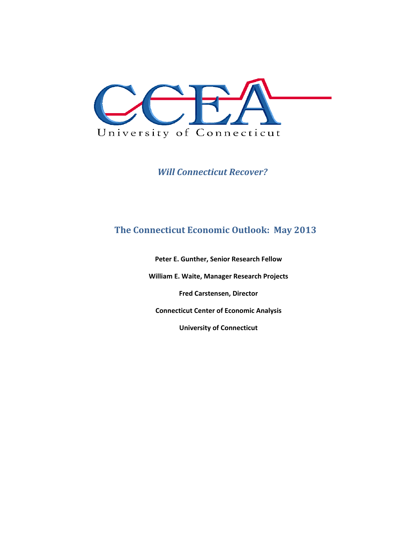

*Will Connecticut Recover?*

## **The Connecticut Economic Outlook: May 2013**

**Peter E. Gunther, Senior Research Fellow**

**William E. Waite, Manager Research Projects**

**Fred Carstensen, Director**

**Connecticut Center of Economic Analysis**

**University of Connecticut**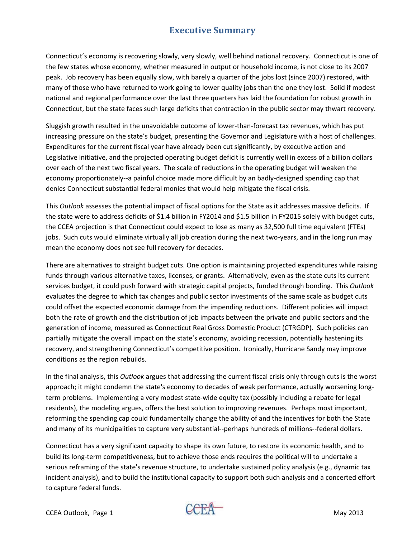## **Executive Summary**

Connecticut's economy is recovering slowly, very slowly, well behind national recovery. Connecticut is one of the few states whose economy, whether measured in output or household income, is not close to its 2007 peak. Job recovery has been equally slow, with barely a quarter of the jobs lost (since 2007) restored, with many of those who have returned to work going to lower quality jobs than the one they lost. Solid if modest national and regional performance over the last three quarters has laid the foundation for robust growth in Connecticut, but the state faces such large deficits that contraction in the public sector may thwart recovery.

Sluggish growth resulted in the unavoidable outcome of lower‐than‐forecast tax revenues, which has put increasing pressure on the state's budget, presenting the Governor and Legislature with a host of challenges. Expenditures for the current fiscal year have already been cut significantly, by executive action and Legislative initiative, and the projected operating budget deficit is currently well in excess of a billion dollars over each of the next two fiscal years. The scale of reductions in the operating budget will weaken the economy proportionately--a painful choice made more difficult by an badly-designed spending cap that denies Connecticut substantial federal monies that would help mitigate the fiscal crisis.

This *Outlook* assesses the potential impact of fiscal options for the State as it addresses massive deficits. If the state were to address deficits of \$1.4 billion in FY2014 and \$1.5 billion in FY2015 solely with budget cuts, the CCEA projection is that Connecticut could expect to lose as many as 32,500 full time equivalent (FTEs) jobs. Such cuts would eliminate virtually all job creation during the next two-years, and in the long run may mean the economy does not see full recovery for decades.

There are alternatives to straight budget cuts. One option is maintaining projected expenditures while raising funds through various alternative taxes, licenses, or grants. Alternatively, even as the state cuts its current services budget, it could push forward with strategic capital projects, funded through bonding. This *Outlook* evaluates the degree to which tax changes and public sector investments of the same scale as budget cuts could offset the expected economic damage from the impending reductions. Different policies will impact both the rate of growth and the distribution of job impacts between the private and public sectors and the generation of income, measured as Connecticut Real Gross Domestic Product (CTRGDP). Such policies can partially mitigate the overall impact on the state's economy, avoiding recession, potentially hastening its recovery, and strengthening Connecticut's competitive position. Ironically, Hurricane Sandy may improve conditions as the region rebuilds.

In the final analysis, this *Outlook* argues that addressing the current fiscal crisis only through cuts is the worst approach; it might condemn the state's economy to decades of weak performance, actually worsening longterm problems. Implementing a very modest state‐wide equity tax (possibly including a rebate for legal residents), the modeling argues, offers the best solution to improving revenues. Perhaps most important, reforming the spending cap could fundamentally change the ability of and the incentives for both the State and many of its municipalities to capture very substantial‐‐perhaps hundreds of millions‐‐federal dollars.

Connecticut has a very significant capacity to shape its own future, to restore its economic health, and to build its long‐term competitiveness, but to achieve those ends requires the political will to undertake a serious reframing of the state's revenue structure, to undertake sustained policy analysis (e.g., dynamic tax incident analysis), and to build the institutional capacity to support both such analysis and a concerted effort to capture federal funds.

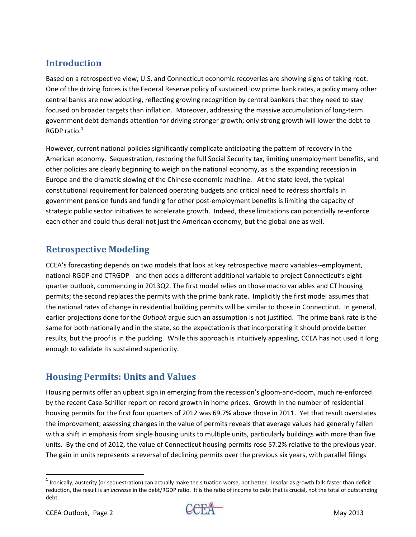# **Introduction**

Based on a retrospective view, U.S. and Connecticut economic recoveries are showing signs of taking root. One of the driving forces is the Federal Reserve policy of sustained low prime bank rates, a policy many other central banks are now adopting, reflecting growing recognition by central bankers that they need to stay focused on broader targets than inflation. Moreover, addressing the massive accumulation of long‐term government debt demands attention for driving stronger growth; only strong growth will lower the debt to RGDP ratio. $1$ 

However, current national policies significantly complicate anticipating the pattern of recovery in the American economy. Sequestration, restoring the full Social Security tax, limiting unemployment benefits, and other policies are clearly beginning to weigh on the national economy, as is the expanding recession in Europe and the dramatic slowing of the Chinese economic machine. At the state level, the typical constitutional requirement for balanced operating budgets and critical need to redress shortfalls in government pension funds and funding for other post-employment benefits is limiting the capacity of strategic public sector initiatives to accelerate growth. Indeed, these limitations can potentially re‐enforce each other and could thus derail not just the American economy, but the global one as well.

### **Retrospective Modeling**

CCEA's forecasting depends on two models that look at key retrospective macro variables‐‐employment, national RGDP and CTRGDP‐‐ and then adds a different additional variable to project Connecticut's eight‐ quarter outlook, commencing in 2013Q2. The first model relies on those macro variables and CT housing permits; the second replaces the permits with the prime bank rate. Implicitly the first model assumes that the national rates of change in residential building permits will be similar to those in Connecticut. In general, earlier projections done for the *Outlook* argue such an assumption is not justified. The prime bank rate is the same for both nationally and in the state, so the expectation is that incorporating it should provide better results, but the proof is in the pudding. While this approach is intuitively appealing, CCEA has not used it long enough to validate its sustained superiority.

### **Housing Permits: Units and Values**

Housing permits offer an upbeat sign in emerging from the recession's gloom‐and‐doom, much re‐enforced by the recent Case‐Schiller report on record growth in home prices. Growth in the number of residential housing permits for the first four quarters of 2012 was 69.7% above those in 2011. Yet that result overstates the improvement; assessing changes in the value of permits reveals that average values had generally fallen with a shift in emphasis from single housing units to multiple units, particularly buildings with more than five units. By the end of 2012, the value of Connecticut housing permits rose 57.2% relative to the previous year. The gain in units represents a reversal of declining permits over the previous six years, with parallel filings



 $^1$  Ironically, austerity (or sequestration) can actually make the situation worse, not better. Insofar as growth falls faster than deficit reduction, the result is an *increase* in the debt/RGDP ratio. It is the ratio of income to debt that is crucial, not the total of outstanding debt.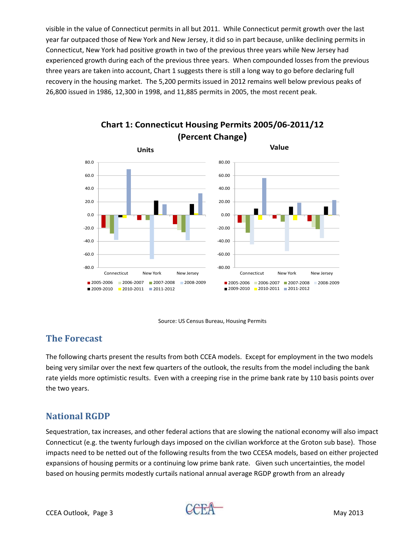visible in the value of Connecticut permits in all but 2011. While Connecticut permit growth over the last year far outpaced those of New York and New Jersey, it did so in part because, unlike declining permits in Connecticut, New York had positive growth in two of the previous three years while New Jersey had experienced growth during each of the previous three years. When compounded losses from the previous three years are taken into account, Chart 1 suggests there is still a long way to go before declaring full recovery in the housing market. The 5,200 permits issued in 2012 remains well below previous peaks of 26,800 issued in 1986, 12,300 in 1998, and 11,885 permits in 2005, the most recent peak.



**Chart 1: Connecticut Housing Permits 2005/06‐2011/12 (Percent Change)**



### **The Forecast**

The following charts present the results from both CCEA models. Except for employment in the two models being very similar over the next few quarters of the outlook, the results from the model including the bank rate yields more optimistic results. Even with a creeping rise in the prime bank rate by 110 basis points over the two years.

### **National RGDP**

Sequestration, tax increases, and other federal actions that are slowing the national economy will also impact Connecticut (e.g. the twenty furlough days imposed on the civilian workforce at the Groton sub base). Those impacts need to be netted out of the following results from the two CCESA models, based on either projected expansions of housing permits or a continuing low prime bank rate. Given such uncertainties, the model based on housing permits modestly curtails national annual average RGDP growth from an already

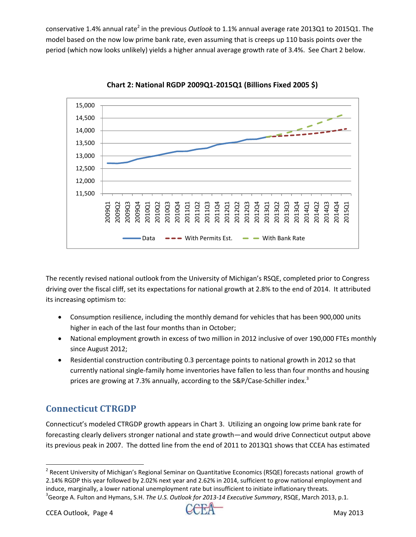conservative 1.4% annual rate<sup>2</sup> in the previous *Outlook* to 1.1% annual average rate 2013Q1 to 2015Q1. The model based on the now low prime bank rate, even assuming that is creeps up 110 basis points over the period (which now looks unlikely) yields a higher annual average growth rate of 3.4%. See Chart 2 below.



**Chart 2: National RGDP 2009Q1‐2015Q1 (Billions Fixed 2005 \$)**

The recently revised national outlook from the University of Michigan's RSQE, completed prior to Congress driving over the fiscal cliff, set its expectations for national growth at 2.8% to the end of 2014. It attributed its increasing optimism to:

- Consumption resilience, including the monthly demand for vehicles that has been 900,000 units higher in each of the last four months than in October;
- National employment growth in excess of two million in 2012 inclusive of over 190,000 FTEs monthly since August 2012;
- Residential construction contributing 0.3 percentage points to national growth in 2012 so that currently national single‐family home inventories have fallen to less than four months and housing prices are growing at 7.3% annually, according to the S&P/Case-Schiller index.<sup>3</sup>

# **Connecticut CTRGDP**

Connecticut's modeled CTRGDP growth appears in Chart 3. Utilizing an ongoing low prime bank rate for forecasting clearly delivers stronger national and state growth—and would drive Connecticut output above its previous peak in 2007. The dotted line from the end of 2011 to 2013Q1 shows that CCEA has estimated



<sup>&</sup>lt;sup>2</sup> Recent University of Michigan's Regional Seminar on Quantitative Economics (RSQE) forecasts national growth of 2.14% RGDP this year followed by 2.02% next year and 2.62% in 2014, sufficient to grow national employment and induce, marginally, a lower national unemployment rate but insufficient to initiate inflationary threats. George A. Fulton and Hymans, S.H. *The U.S. Outlook for 2013‐14 Executive Summary*, RSQE, March 2013, p.1.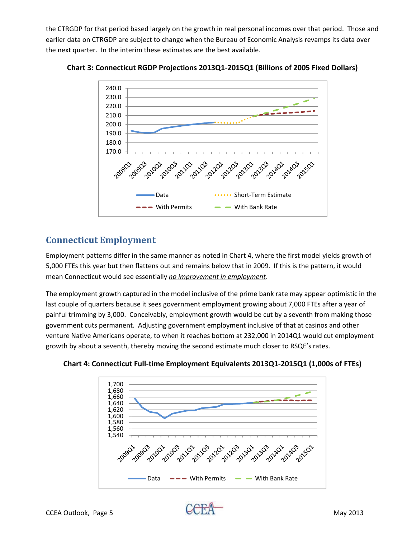the CTRGDP for that period based largely on the growth in real personal incomes over that period. Those and earlier data on CTRGDP are subject to change when the Bureau of Economic Analysis revamps its data over the next quarter. In the interim these estimates are the best available.



**Chart 3: Connecticut RGDP Projections 2013Q1‐2015Q1 (Billions of 2005 Fixed Dollars)**

## **Connecticut Employment**

Employment patterns differ in the same manner as noted in Chart 4, where the first model yields growth of 5,000 FTEs this year but then flattens out and remains below that in 2009. If this is the pattern, it would mean Connecticut would see essentially *no improvement in employment*.

The employment growth captured in the model inclusive of the prime bank rate may appear optimistic in the last couple of quarters because it sees government employment growing about 7,000 FTEs after a year of painful trimming by 3,000. Conceivably, employment growth would be cut by a seventh from making those government cuts permanent. Adjusting government employment inclusive of that at casinos and other venture Native Americans operate, to when it reaches bottom at 232,000 in 2014Q1 would cut employment growth by about a seventh, thereby moving the second estimate much closer to RSQE's rates.



**Chart 4: Connecticut Full‐time Employment Equivalents 2013Q1‐2015Q1 (1,000s of FTEs)**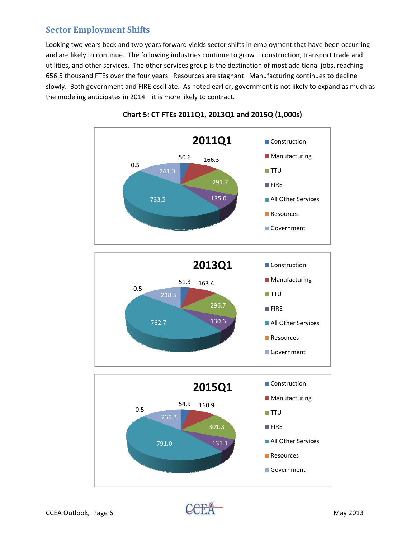#### **Sector Employment Shifts**

Looking two years back and two years forward yields sector shifts in employment that have been occurring and are likely to continue. The following industries continue to grow – construction, transport trade and utilities, and other services. The other services group is the destination of most additional jobs, reaching 656.5 thousand FTEs over the four years. Resources are stagnant. Manufacturing continues to decline slowly. Both government and FIRE oscillate. As noted earlier, government is not likely to expand as much as the modeling anticipates in 2014—it is more likely to contract.



**Chart 5: CT FTEs 2011Q1, 2013Q1 and 2015Q (1,000s)**

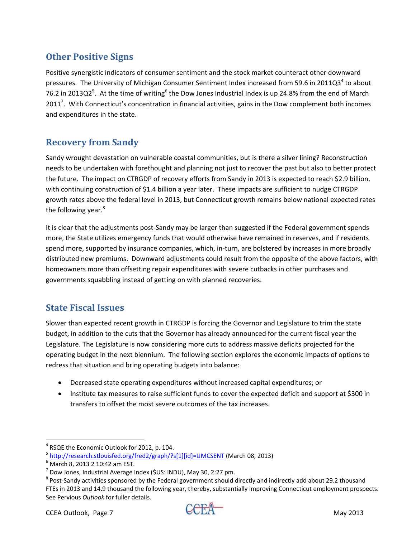# **Other Positive Signs**

Positive synergistic indicators of consumer sentiment and the stock market counteract other downward pressures. The University of Michigan Consumer Sentiment Index increased from 59.6 in 2011Q3<sup>4</sup> to about 76.2 in 2013Q2<sup>5</sup>. At the time of writing<sup>6</sup> the Dow Jones Industrial Index is up 24.8% from the end of March 2011<sup>7</sup>. With Connecticut's concentration in financial activities, gains in the Dow complement both incomes and expenditures in the state.

### **Recovery from Sandy**

Sandy wrought devastation on vulnerable coastal communities, but is there a silver lining? Reconstruction needs to be undertaken with forethought and planning not just to recover the past but also to better protect the future. The impact on CTRGDP of recovery efforts from Sandy in 2013 is expected to reach \$2.9 billion, with continuing construction of \$1.4 billion a year later. These impacts are sufficient to nudge CTRGDP growth rates above the federal level in 2013, but Connecticut growth remains below national expected rates the following year.<sup>8</sup>

It is clear that the adjustments post-Sandy may be larger than suggested if the Federal government spends more, the State utilizes emergency funds that would otherwise have remained in reserves, and if residents spend more, supported by insurance companies, which, in-turn, are bolstered by increases in more broadly distributed new premiums. Downward adjustments could result from the opposite of the above factors, with homeowners more than offsetting repair expenditures with severe cutbacks in other purchases and governments squabbling instead of getting on with planned recoveries.

### **State Fiscal Issues**

Slower than expected recent growth in CTRGDP is forcing the Governor and Legislature to trim the state budget, in addition to the cuts that the Governor has already announced for the current fiscal year the Legislature. The Legislature is now considering more cuts to address massive deficits projected for the operating budget in the next biennium. The following section explores the economic impacts of options to redress that situation and bring operating budgets into balance:

- Decreased state operating expenditures without increased capital expenditures; or
- Institute tax measures to raise sufficient funds to cover the expected deficit and support at \$300 in transfers to offset the most severe outcomes of the tax increases.



<sup>&</sup>lt;sup>4</sup> RSQE the Economic Outlook for 2012, p. 104.<br><sup>5</sup> <u>http://research.stlouisfed.org/fred2/graph/?s[1][id]=UMCSENT</u> (March 08, 2013)<br><sup>6</sup> March 8, 2013 2 10:42 am EST.<br><sup>7</sup> Dow Jones, Industrial Average Index (\$US: INDU), May FTEs in 2013 and 14.9 thousand the following year, thereby, substantially improving Connecticut employment prospects. See Pervious *Outlook* for fuller details.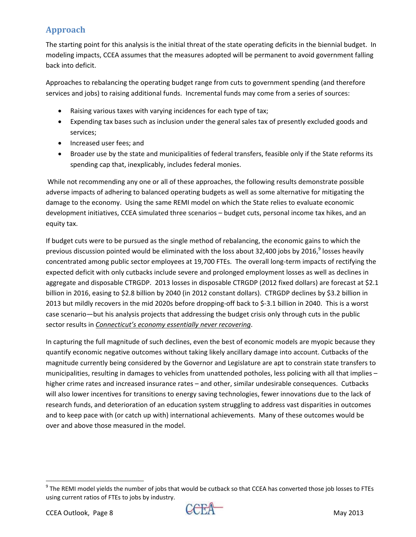### **Approach**

The starting point for this analysis is the initial threat of the state operating deficits in the biennial budget. In modeling impacts, CCEA assumes that the measures adopted will be permanent to avoid government falling back into deficit.

Approaches to rebalancing the operating budget range from cuts to government spending (and therefore services and jobs) to raising additional funds. Incremental funds may come from a series of sources:

- Raising various taxes with varying incidences for each type of tax;
- Expending tax bases such as inclusion under the general sales tax of presently excluded goods and services;
- Increased user fees; and
- Broader use by the state and municipalities of federal transfers, feasible only if the State reforms its spending cap that, inexplicably, includes federal monies.

While not recommending any one or all of these approaches, the following results demonstrate possible adverse impacts of adhering to balanced operating budgets as well as some alternative for mitigating the damage to the economy. Using the same REMI model on which the State relies to evaluate economic development initiatives, CCEA simulated three scenarios – budget cuts, personal income tax hikes, and an equity tax.

If budget cuts were to be pursued as the single method of rebalancing, the economic gains to which the previous discussion pointed would be eliminated with the loss about 32,400 jobs by 2016,<sup>9</sup> losses heavily concentrated among public sector employees at 19,700 FTEs. The overall long‐term impacts of rectifying the expected deficit with only cutbacks include severe and prolonged employment losses as well as declines in aggregate and disposable CTRGDP. 2013 losses in disposable CTRGDP (2012 fixed dollars) are forecast at \$2.1 billion in 2016, easing to \$2.8 billion by 2040 (in 2012 constant dollars). CTRGDP declines by \$3.2 billion in 2013 but mildly recovers in the mid 2020s before dropping‐off back to \$‐3.1 billion in 2040. This is a worst case scenario—but his analysis projects that addressing the budget crisis only through cuts in the public sector results in *Connecticut's economy essentially never recovering*.

In capturing the full magnitude of such declines, even the best of economic models are myopic because they quantify economic negative outcomes without taking likely ancillary damage into account. Cutbacks of the magnitude currently being considered by the Governor and Legislature are apt to constrain state transfers to municipalities, resulting in damages to vehicles from unattended potholes, less policing with all that implies – higher crime rates and increased insurance rates – and other, similar undesirable consequences. Cutbacks will also lower incentives for transitions to energy saving technologies, fewer innovations due to the lack of research funds, and deterioration of an education system struggling to address vast disparities in outcomes and to keep pace with (or catch up with) international achievements. Many of these outcomes would be over and above those measured in the model.



 $9$  The REMI model yields the number of jobs that would be cutback so that CCEA has converted those job losses to FTEs using current ratios of FTEs to jobs by industry.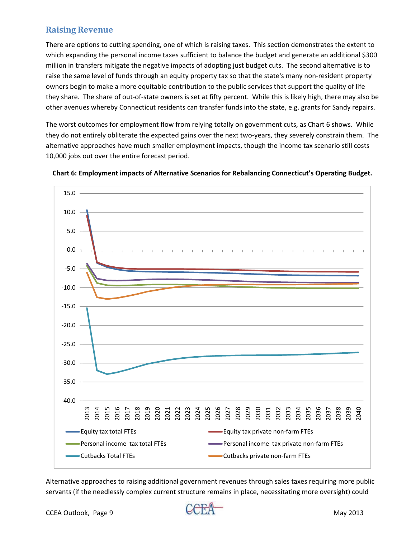### **Raising Revenue**

There are options to cutting spending, one of which is raising taxes. This section demonstrates the extent to which expanding the personal income taxes sufficient to balance the budget and generate an additional \$300 million in transfers mitigate the negative impacts of adopting just budget cuts. The second alternative is to raise the same level of funds through an equity property tax so that the state's many non-resident property owners begin to make a more equitable contribution to the public services that support the quality of life they share. The share of out‐of‐state owners is set at fifty percent. While this is likely high, there may also be other avenues whereby Connecticut residents can transfer funds into the state, e.g. grants for Sandy repairs.

The worst outcomes for employment flow from relying totally on government cuts, as Chart 6 shows. While they do not entirely obliterate the expected gains over the next two-years, they severely constrain them. The alternative approaches have much smaller employment impacts, though the income tax scenario still costs 10,000 jobs out over the entire forecast period.





Alternative approaches to raising additional government revenues through sales taxes requiring more public servants (if the needlessly complex current structure remains in place, necessitating more oversight) could

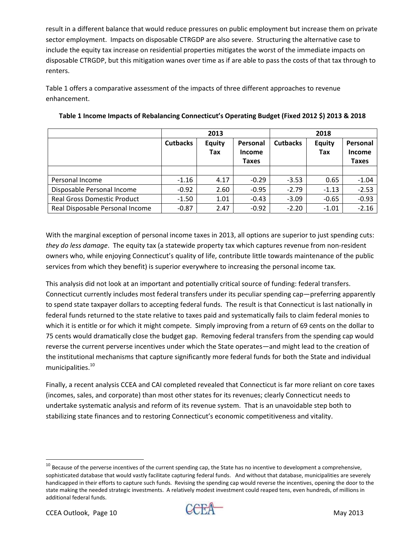result in a different balance that would reduce pressures on public employment but increase them on private sector employment. Impacts on disposable CTRGDP are also severe. Structuring the alternative case to include the equity tax increase on residential properties mitigates the worst of the immediate impacts on disposable CTRGDP, but this mitigation wanes over time as if are able to pass the costs of that tax through to renters.

Table 1 offers a comparative assessment of the impacts of three different approaches to revenue enhancement.

|                                    | 2013            |                      |                                           | 2018            |                      |                                           |
|------------------------------------|-----------------|----------------------|-------------------------------------------|-----------------|----------------------|-------------------------------------------|
|                                    | <b>Cutbacks</b> | <b>Equity</b><br>Tax | Personal<br><b>Income</b><br><b>Taxes</b> | <b>Cutbacks</b> | <b>Equity</b><br>Tax | Personal<br><b>Income</b><br><b>Taxes</b> |
|                                    |                 |                      |                                           |                 |                      |                                           |
| Personal Income                    | $-1.16$         | 4.17                 | $-0.29$                                   | $-3.53$         | 0.65                 | $-1.04$                                   |
| Disposable Personal Income         | $-0.92$         | 2.60                 | $-0.95$                                   | $-2.79$         | $-1.13$              | $-2.53$                                   |
| <b>Real Gross Domestic Product</b> | $-1.50$         | 1.01                 | $-0.43$                                   | $-3.09$         | $-0.65$              | $-0.93$                                   |
| Real Disposable Personal Income    | $-0.87$         | 2.47                 | $-0.92$                                   | $-2.20$         | $-1.01$              | $-2.16$                                   |

#### **Table 1 Income Impacts of Rebalancing Connecticut's Operating Budget (Fixed 2012 \$) 2013 & 2018**

With the marginal exception of personal income taxes in 2013, all options are superior to just spending cuts: *they do less damage*. The equity tax (a statewide property tax which captures revenue from non‐resident owners who, while enjoying Connecticut's quality of life, contribute little towards maintenance of the public services from which they benefit) is superior everywhere to increasing the personal income tax.

This analysis did not look at an important and potentially critical source of funding: federal transfers. Connecticut currently includes most federal transfers under its peculiar spending cap—preferring apparently to spend state taxpayer dollars to accepting federal funds. The result is that Connecticut is last nationally in federal funds returned to the state relative to taxes paid and systematically fails to claim federal monies to which it is entitle or for which it might compete. Simply improving from a return of 69 cents on the dollar to 75 cents would dramatically close the budget gap. Removing federal transfers from the spending cap would reverse the current perverse incentives under which the State operates—and might lead to the creation of the institutional mechanisms that capture significantly more federal funds for both the State and individual municipalities.<sup>10</sup>

Finally, a recent analysis CCEA and CAI completed revealed that Connecticut is far more reliant on core taxes (incomes, sales, and corporate) than most other states for its revenues; clearly Connecticut needs to undertake systematic analysis and reform of its revenue system. That is an unavoidable step both to stabilizing state finances and to restoring Connecticut's economic competitiveness and vitality.



 $^{10}$  Because of the perverse incentives of the current spending cap, the State has no incentive to development a comprehensive, sophisticated database that would vastly facilitate capturing federal funds. And without that database, municipalities are severely handicapped in their efforts to capture such funds. Revising the spending cap would reverse the incentives, opening the door to the state making the needed strategic investments. A relatively modest investment could reaped tens, even hundreds, of millions in additional federal funds.